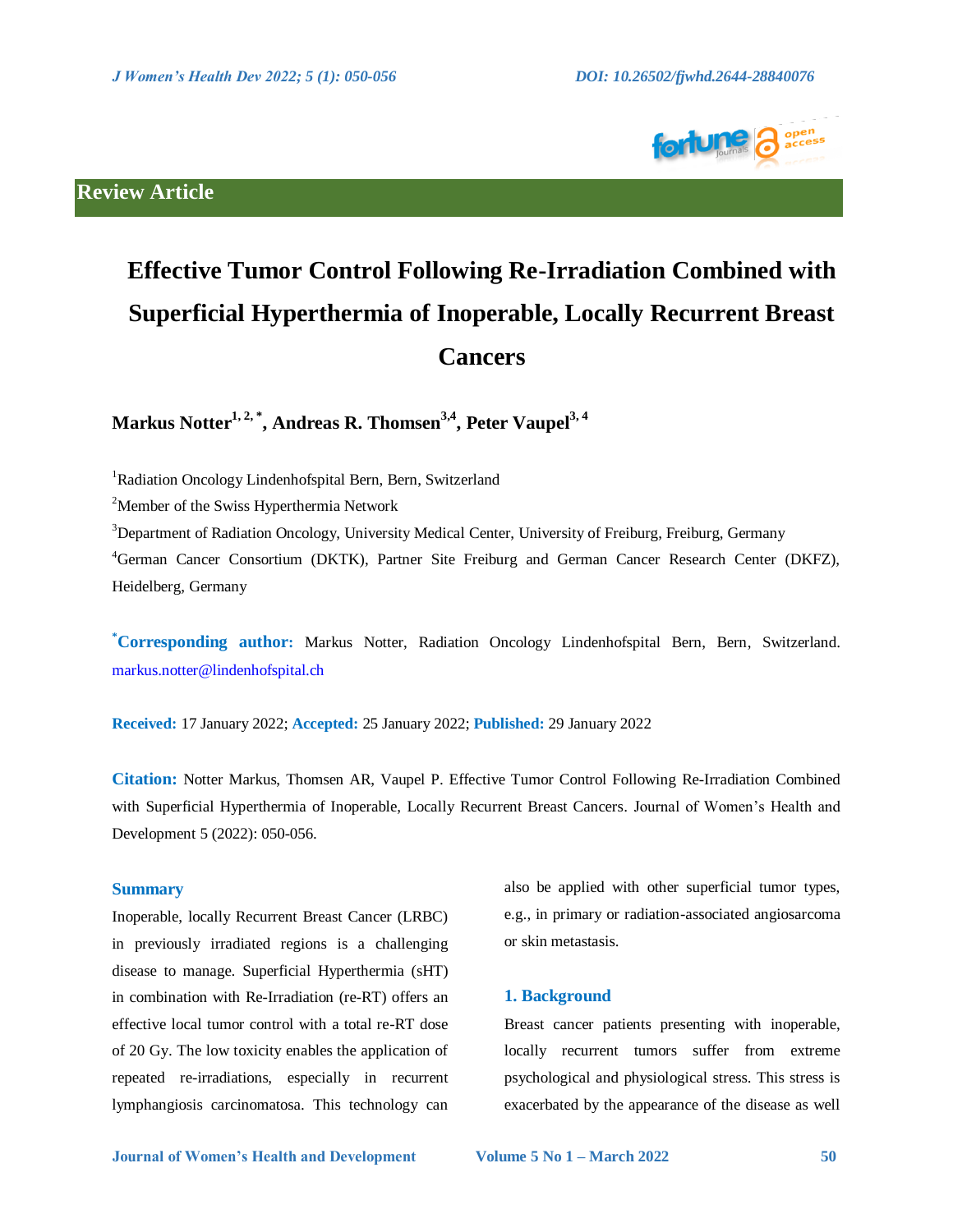

# **Review Article**

# **Effective Tumor Control Following Re-Irradiation Combined with Superficial Hyperthermia of Inoperable, Locally Recurrent Breast Cancers**

**Markus Notter1, 2, \* , Andreas R. Thomsen3,4 , Peter Vaupel3, <sup>4</sup>**

<sup>1</sup>Radiation Oncology Lindenhofspital Bern, Bern, Switzerland

<sup>2</sup>Member of the Swiss Hyperthermia Network

 $3$ Department of Radiation Oncology, University Medical Center, University of Freiburg, Freiburg, Germany

<sup>4</sup>German Cancer Consortium (DKTK), Partner Site Freiburg and German Cancer Research Center (DKFZ), Heidelberg, Germany

**\*Corresponding author:** Markus Notter, Radiation Oncology Lindenhofspital Bern, Bern, Switzerland. [markus.notter@lindenhofspital.ch](mailto:markus.notter@lindenhofspital.ch)

**Received:** 17 January 2022; **Accepted:** 25 January 2022; **Published:** 29 January 2022

**Citation:** Notter Markus, Thomsen AR, Vaupel P. Effective Tumor Control Following Re-Irradiation Combined with Superficial Hyperthermia of Inoperable, Locally Recurrent Breast Cancers. Journal of Women's Health and Development 5 (2022): 050-056.

## **Summary**

Inoperable, locally Recurrent Breast Cancer (LRBC) in previously irradiated regions is a challenging disease to manage. Superficial Hyperthermia (sHT) in combination with Re-Irradiation (re-RT) offers an effective local tumor control with a total re-RT dose of 20 Gy. The low toxicity enables the application of repeated re-irradiations, especially in recurrent lymphangiosis carcinomatosa. This technology can

also be applied with other superficial tumor types, e.g., in primary or radiation-associated angiosarcoma or skin metastasis.

#### **1. Background**

Breast cancer patients presenting with inoperable, locally recurrent tumors suffer from extreme psychological and physiological stress. This stress is exacerbated by the appearance of the disease as well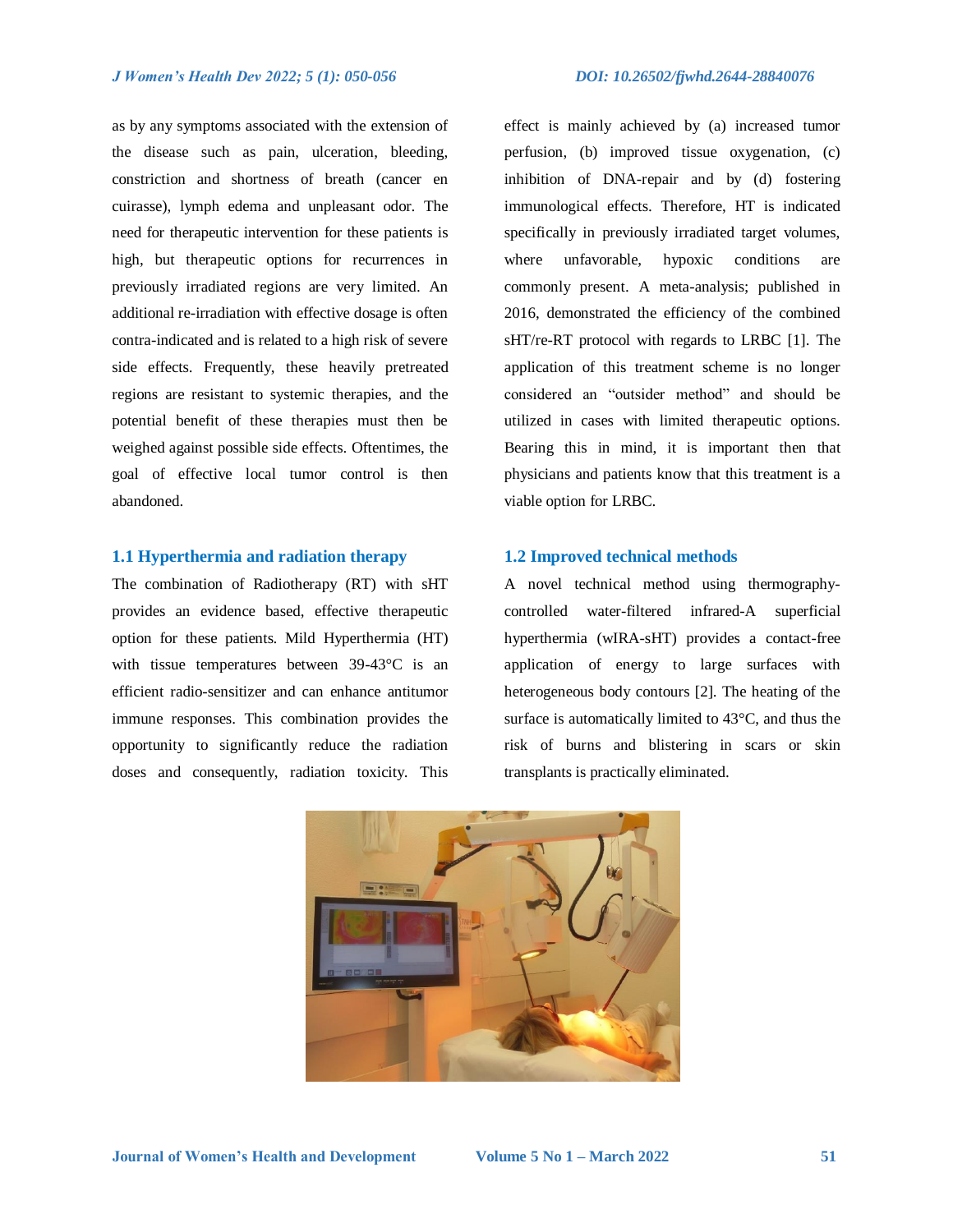as by any symptoms associated with the extension of the disease such as pain, ulceration, bleeding, constriction and shortness of breath (cancer en cuirasse), lymph edema and unpleasant odor. The need for therapeutic intervention for these patients is high, but therapeutic options for recurrences in previously irradiated regions are very limited. An additional re-irradiation with effective dosage is often contra-indicated and is related to a high risk of severe side effects. Frequently, these heavily pretreated regions are resistant to systemic therapies, and the potential benefit of these therapies must then be weighed against possible side effects. Oftentimes, the goal of effective local tumor control is then abandoned.

#### **1.1 Hyperthermia and radiation therapy**

The combination of Radiotherapy (RT) with sHT provides an evidence based, effective therapeutic option for these patients. Mild Hyperthermia (HT) with tissue temperatures between 39-43°C is an efficient radio-sensitizer and can enhance antitumor immune responses. This combination provides the opportunity to significantly reduce the radiation doses and consequently, radiation toxicity. This

effect is mainly achieved by (a) increased tumor perfusion, (b) improved tissue oxygenation, (c) inhibition of DNA-repair and by (d) fostering immunological effects. Therefore, HT is indicated specifically in previously irradiated target volumes, where unfavorable, hypoxic conditions are commonly present. A meta-analysis; published in 2016, demonstrated the efficiency of the combined sHT/re-RT protocol with regards to LRBC [1]. The application of this treatment scheme is no longer considered an "outsider method" and should be utilized in cases with limited therapeutic options. Bearing this in mind, it is important then that physicians and patients know that this treatment is a viable option for LRBC.

## **1.2 Improved technical methods**

A novel technical method using thermographycontrolled water-filtered infrared-A superficial hyperthermia (wIRA-sHT) provides a contact-free application of energy to large surfaces with heterogeneous body contours [2]. The heating of the surface is automatically limited to 43°C, and thus the risk of burns and blistering in scars or skin transplants is practically eliminated.

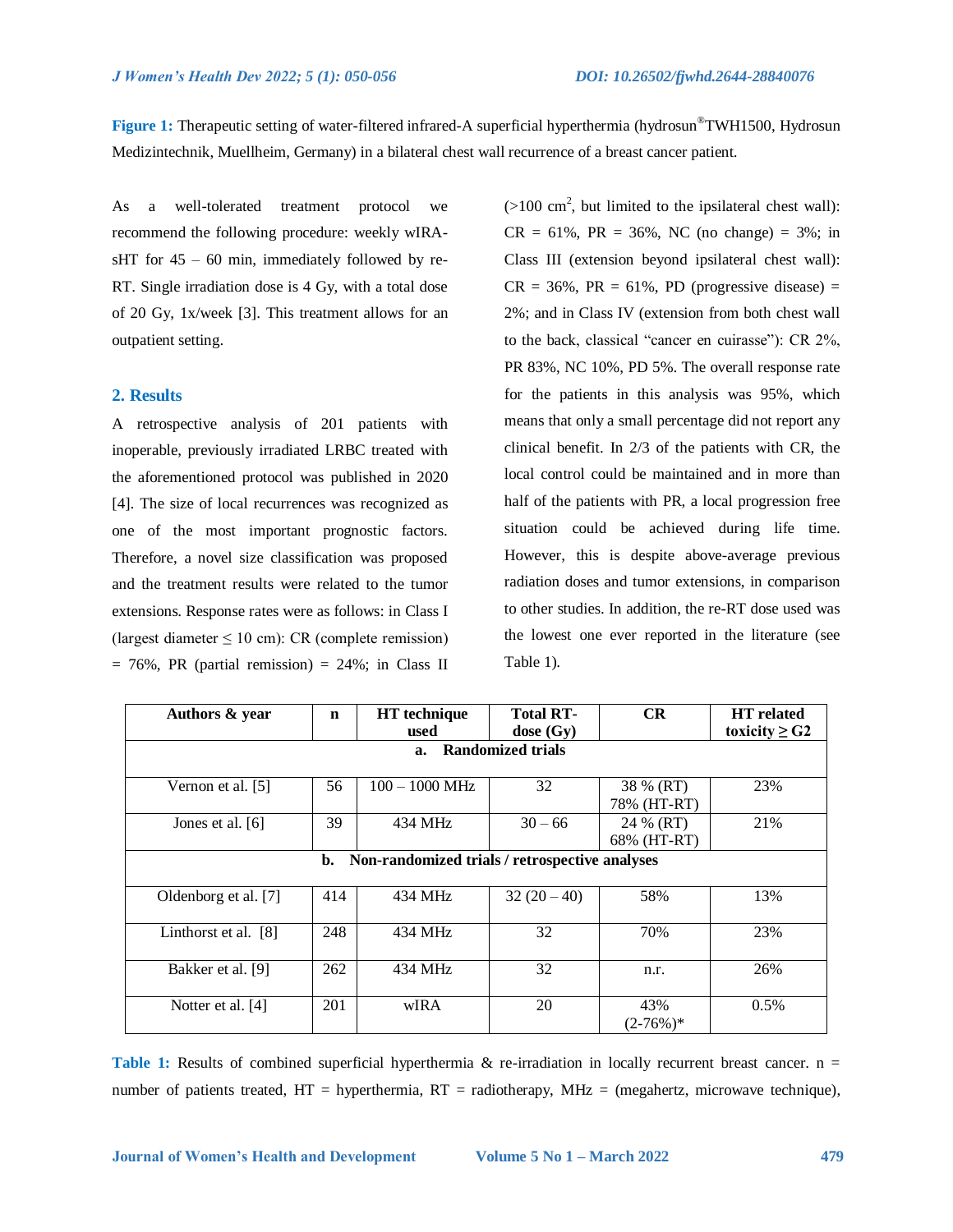**Figure 1:** Therapeutic setting of water-filtered infrared-A superficial hyperthermia (hydrosun®TWH1500, Hydrosun Medizintechnik, Muellheim, Germany) in a bilateral chest wall recurrence of a breast cancer patient.

As a well-tolerated treatment protocol we recommend the following procedure: weekly wIRAsHT for  $45 - 60$  min, immediately followed by re-RT. Single irradiation dose is 4 Gy, with a total dose of 20 Gy, 1x/week [3]. This treatment allows for an outpatient setting.

# **2. Results**

A retrospective analysis of 201 patients with inoperable, previously irradiated LRBC treated with the aforementioned protocol was published in 2020 [4]. The size of local recurrences was recognized as one of the most important prognostic factors. Therefore, a novel size classification was proposed and the treatment results were related to the tumor extensions. Response rates were as follows: in Class I (largest diameter  $\leq 10$  cm): CR (complete remission)  $= 76\%$ , PR (partial remission)  $= 24\%$ ; in Class II

 $(>100 \text{ cm}^2, \text{ but limited to the ipsilateral chest wall})$ :  $CR = 61\%$ ,  $PR = 36\%$ , NC (no change) = 3%; in Class III (extension beyond ipsilateral chest wall):  $CR = 36\%$ ,  $PR = 61\%$ ,  $PD$  (progressive disease) = 2%; and in Class IV (extension from both chest wall to the back, classical "cancer en cuirasse"): CR 2%, PR 83%, NC 10%, PD 5%. The overall response rate for the patients in this analysis was 95%, which means that only a small percentage did not report any clinical benefit. In 2/3 of the patients with CR, the local control could be maintained and in more than half of the patients with PR, a local progression free situation could be achieved during life time. However, this is despite above-average previous radiation doses and tumor extensions, in comparison to other studies. In addition, the re-RT dose used was the lowest one ever reported in the literature (see Table 1).

| Authors & year                                       | $\mathbf n$ | <b>HT</b> technique | <b>Total RT-</b> | CR          | <b>HT</b> related  |
|------------------------------------------------------|-------------|---------------------|------------------|-------------|--------------------|
|                                                      |             | used                | dose $(Gy)$      |             | toxicity $\geq$ G2 |
| <b>Randomized trials</b><br>a.                       |             |                     |                  |             |                    |
|                                                      |             |                     |                  |             |                    |
| Vernon et al. [5]                                    | 56          | $100 - 1000$ MHz    | 32               | 38 % (RT)   | 23%                |
|                                                      |             |                     |                  | 78% (HT-RT) |                    |
| Jones et al. $[6]$                                   | 39          | 434 MHz             | $30 - 66$        | 24 % (RT)   | 21%                |
|                                                      |             |                     |                  | 68% (HT-RT) |                    |
| Non-randomized trials / retrospective analyses<br>b. |             |                     |                  |             |                    |
|                                                      |             |                     |                  |             |                    |
| Oldenborg et al. [7]                                 | 414         | 434 MHz             | $32(20-40)$      | 58%         | 13%                |
|                                                      |             |                     |                  |             |                    |
| Linthorst et al. $[8]$                               | 248         | 434 MHz             | 32               | 70%         | 23%                |
|                                                      |             |                     |                  |             |                    |
| Bakker et al. [9]                                    | 262         | 434 MHz             | 32               | n.r.        | 26%                |
|                                                      |             |                     |                  |             |                    |
| Notter et al. [4]                                    | 201         | wIRA                | 20               | 43%         | 0.5%               |
|                                                      |             |                     |                  | $(2-76%)$ * |                    |

**Table 1:** Results of combined superficial hyperthermia & re-irradiation in locally recurrent breast cancer. n = number of patients treated,  $HT = hyperthermia$ ,  $RT = radiotherapy$ ,  $MHz = (megahertz, microwave technique)$ ,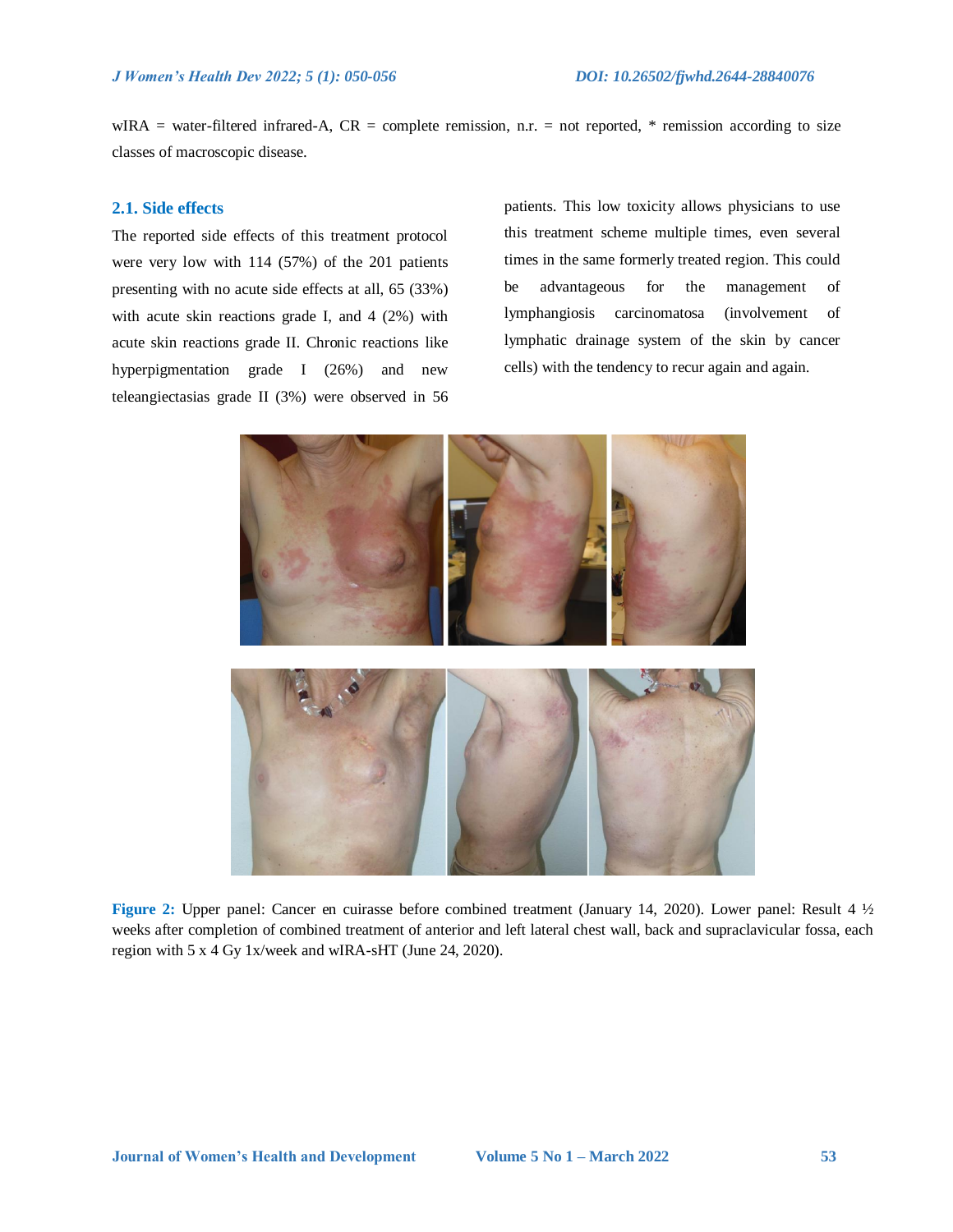$WIRA = water-filtered infrared-A, CR = complete remission, n.r. = not reported, * remission according to size$ classes of macroscopic disease.

# **2.1. Side effects**

The reported side effects of this treatment protocol were very low with 114 (57%) of the 201 patients presenting with no acute side effects at all, 65 (33%) with acute skin reactions grade I, and 4 (2%) with acute skin reactions grade II. Chronic reactions like hyperpigmentation grade I (26%) and new teleangiectasias grade II (3%) were observed in 56

patients. This low toxicity allows physicians to use this treatment scheme multiple times, even several times in the same formerly treated region. This could be advantageous for the management of lymphangiosis carcinomatosa (involvement of lymphatic drainage system of the skin by cancer cells) with the tendency to recur again and again.



**Figure 2:** Upper panel: Cancer en cuirasse before combined treatment (January 14, 2020). Lower panel: Result 4 ½ weeks after completion of combined treatment of anterior and left lateral chest wall, back and supraclavicular fossa, each region with 5 x 4 Gy 1x/week and wIRA-sHT (June 24, 2020).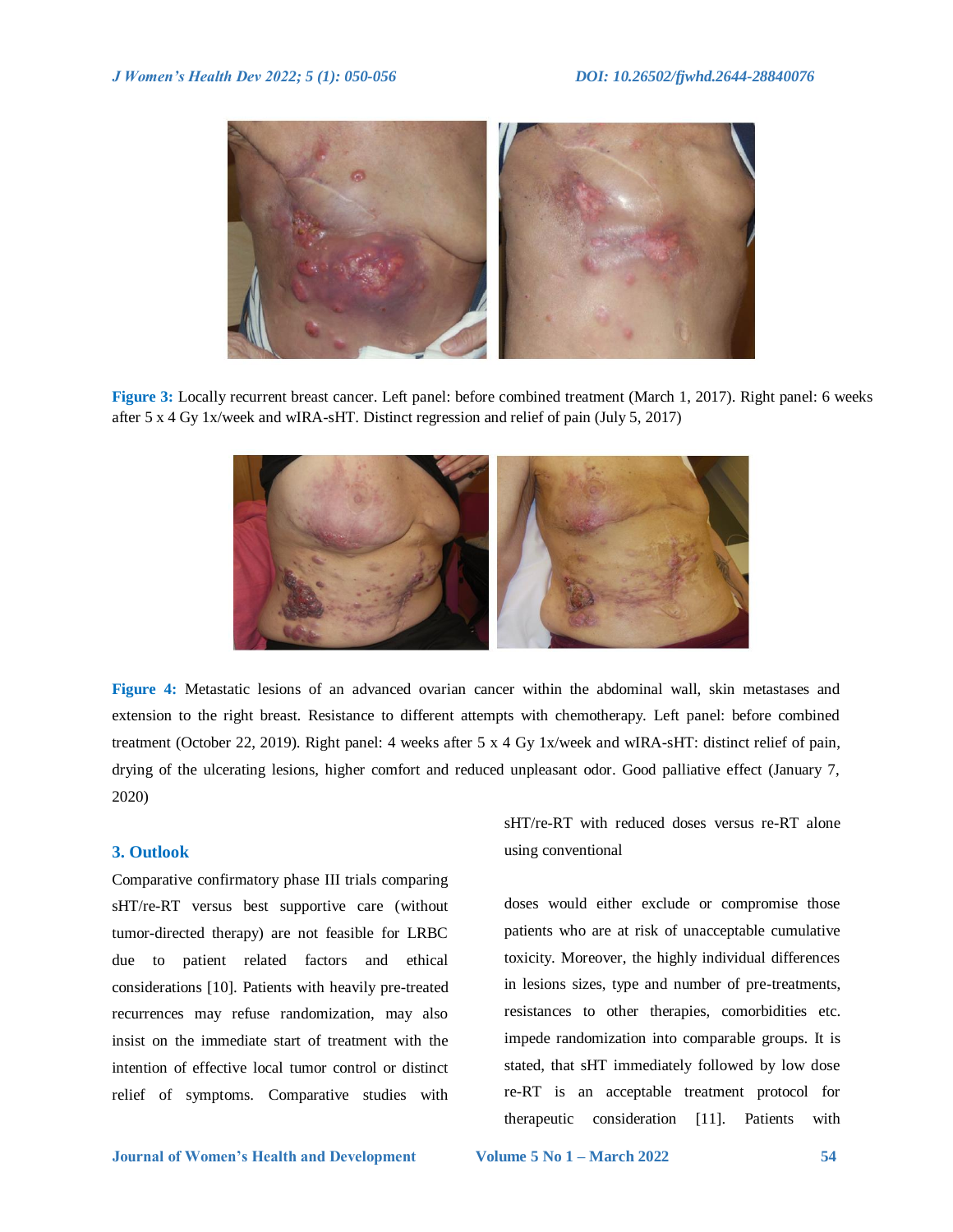

**Figure 3:** Locally recurrent breast cancer. Left panel: before combined treatment (March 1, 2017). Right panel: 6 weeks after 5 x 4 Gy 1x/week and wIRA-sHT. Distinct regression and relief of pain (July 5, 2017)



**Figure 4:** Metastatic lesions of an advanced ovarian cancer within the abdominal wall, skin metastases and extension to the right breast. Resistance to different attempts with chemotherapy. Left panel: before combined treatment (October 22, 2019). Right panel: 4 weeks after 5 x 4 Gy 1x/week and wIRA-sHT: distinct relief of pain, drying of the ulcerating lesions, higher comfort and reduced unpleasant odor. Good palliative effect (January 7, 2020)

# **3. Outlook**

Comparative confirmatory phase III trials comparing sHT/re-RT versus best supportive care (without tumor-directed therapy) are not feasible for LRBC due to patient related factors and ethical considerations [10]. Patients with heavily pre-treated recurrences may refuse randomization, may also insist on the immediate start of treatment with the intention of effective local tumor control or distinct relief of symptoms. Comparative studies with

sHT/re-RT with reduced doses versus re-RT alone using conventional

doses would either exclude or compromise those patients who are at risk of unacceptable cumulative toxicity. Moreover, the highly individual differences in lesions sizes, type and number of pre-treatments, resistances to other therapies, comorbidities etc. impede randomization into comparable groups. It is stated, that sHT immediately followed by low dose re-RT is an acceptable treatment protocol for therapeutic consideration [11]. Patients with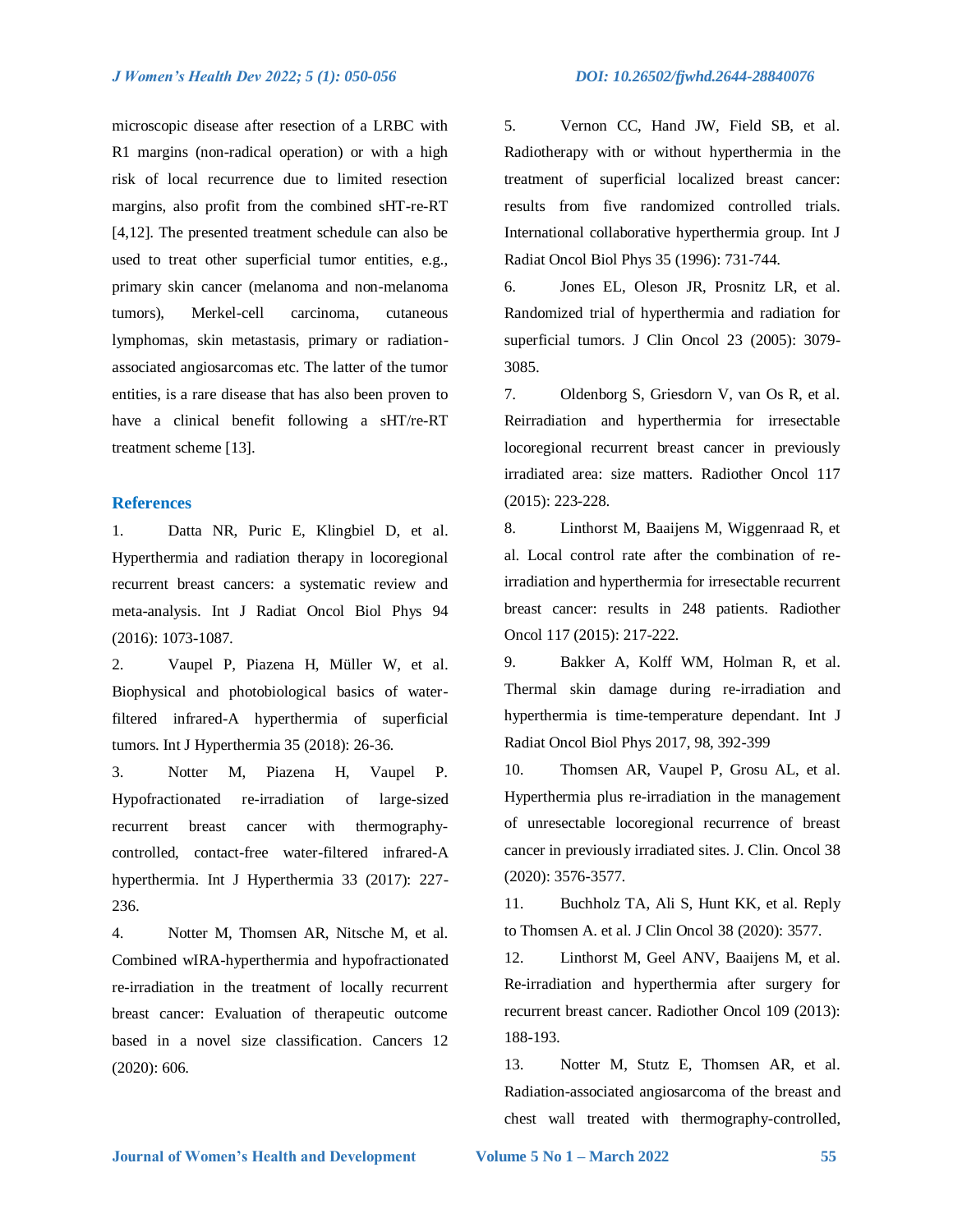microscopic disease after resection of a LRBC with R1 margins (non-radical operation) or with a high risk of local recurrence due to limited resection margins, also profit from the combined sHT-re-RT [4,12]. The presented treatment schedule can also be used to treat other superficial tumor entities, e.g., primary skin cancer (melanoma and non-melanoma tumors), Merkel-cell carcinoma, cutaneous lymphomas, skin metastasis, primary or radiationassociated angiosarcomas etc. The latter of the tumor entities, is a rare disease that has also been proven to have a clinical benefit following a sHT/re-RT treatment scheme [13].

# **References**

1. Datta NR, Puric E, Klingbiel D, et al. Hyperthermia and radiation therapy in locoregional recurrent breast cancers: a systematic review and meta-analysis. Int J Radiat Oncol Biol Phys 94 (2016): 1073-1087.

2. Vaupel P, Piazena H, Müller W, et al. Biophysical and photobiological basics of waterfiltered infrared-A hyperthermia of superficial tumors. Int J Hyperthermia 35 (2018): 26-36.

3. Notter M, Piazena H, Vaupel P. Hypofractionated re-irradiation of large-sized recurrent breast cancer with thermographycontrolled, contact-free water-filtered infrared-A hyperthermia. Int J Hyperthermia 33 (2017): 227- 236.

4. Notter M, Thomsen AR, Nitsche M, et al. Combined wIRA-hyperthermia and hypofractionated re-irradiation in the treatment of locally recurrent breast cancer: Evaluation of therapeutic outcome based in a novel size classification. Cancers 12 (2020): 606.

5. Vernon CC, Hand JW, Field SB, et al. Radiotherapy with or without hyperthermia in the treatment of superficial localized breast cancer: results from five randomized controlled trials. International collaborative hyperthermia group. Int J Radiat Oncol Biol Phys 35 (1996): 731-744.

6. Jones EL, Oleson JR, Prosnitz LR, et al. Randomized trial of hyperthermia and radiation for superficial tumors. J Clin Oncol 23 (2005): 3079- 3085.

7. Oldenborg S, Griesdorn V, van Os R, et al. Reirradiation and hyperthermia for irresectable locoregional recurrent breast cancer in previously irradiated area: size matters. Radiother Oncol 117 (2015): 223-228.

8. Linthorst M, Baaijens M, Wiggenraad R, et al. Local control rate after the combination of reirradiation and hyperthermia for irresectable recurrent breast cancer: results in 248 patients. Radiother Oncol 117 (2015): 217-222.

9. Bakker A, Kolff WM, Holman R, et al. Thermal skin damage during re-irradiation and hyperthermia is time-temperature dependant. Int J Radiat Oncol Biol Phys 2017, 98, 392-399

10. Thomsen AR, Vaupel P, Grosu AL, et al. Hyperthermia plus re-irradiation in the management of unresectable locoregional recurrence of breast cancer in previously irradiated sites. J. Clin. Oncol 38 (2020): 3576-3577.

11. Buchholz TA, Ali S, Hunt KK, et al. Reply to Thomsen A. et al. J Clin Oncol 38 (2020): 3577.

12. Linthorst M, Geel ANV, Baaijens M, et al. Re-irradiation and hyperthermia after surgery for recurrent breast cancer. Radiother Oncol 109 (2013): 188-193.

13. Notter M, Stutz E, Thomsen AR, et al. Radiation-associated angiosarcoma of the breast and chest wall treated with thermography-controlled,